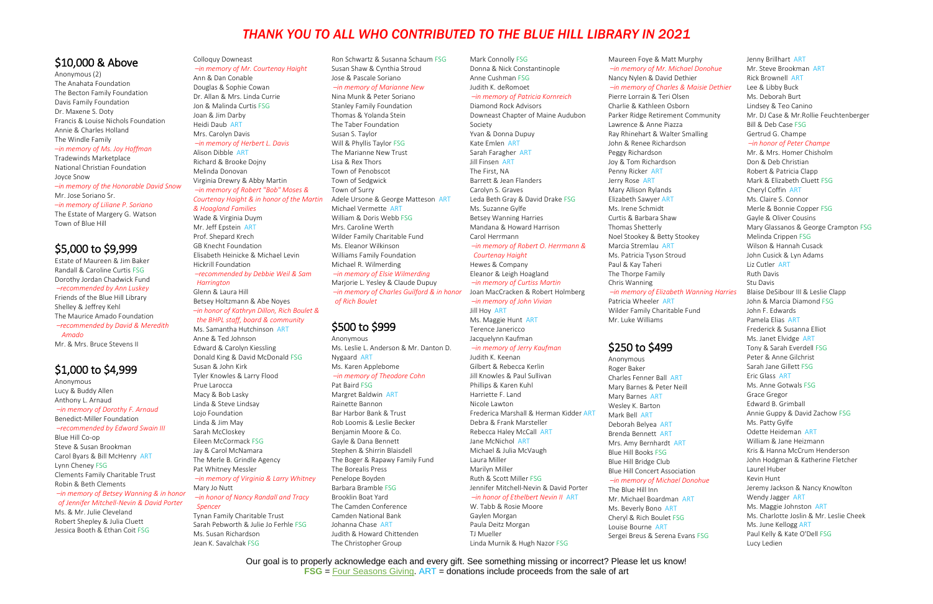# \$10,000 & Above

Anonymous (2) The Anahata Foundation The Becton Family Foundation Davis Family Foundation Dr. Maxene S. Doty Francis & Louise Nichols Foundation Annie & Charles Holland The Windle Family *–in memory of Ms. Joy Hoffman* Tradewinds Marketplace National Christian Foundation Joyce Snow *–in memory of the Honorable David Snow* Mr. Jose Soriano Sr. *–in memory of Liliane P. Soriano* The Estate of Margery G. Watson Town of Blue Hill

# \$5,000 to \$9,999

Estate of Maureen & Jim Baker Randall & Caroline Curtis FSG Dorothy Jordan Chadwick Fund *–recommended by Ann Luskey* Friends of the Blue Hill Library Shelley & Jeffrey Kehl The Maurice Amado Foundation *–recommended by David & Meredith Amado*

Mr. & Mrs. Bruce Stevens II

# \$1,000 to \$4,999

Anonymous Lucy & Buddy Allen Anthony L. Arnaud *–in memory of Dorothy F. Arnaud*  Benedict-Miller Foundation *–recommended by Edward Swain III* Blue Hill Co-op Steve & Susan Brookman Carol Byars & Bill McHenry ART Lynn Cheney FSG Clements Family Charitable Trust Robin & Beth Clements *–in memory of Betsey Wanning & in honor of Jennifer Mitchell-Nevin & David Porter* Ms. & Mr. Julie Cleveland

Robert Shepley & Julia Cluett Jessica Booth & Ethan Coit FSG

# Colloquy Downeast

*–in memory of Mr. Courtenay Haight* Ann & Dan Conable Douglas & Sophie Cowan Dr. Allan & Mrs. Linda Currie Jon & Malinda Curtis FSG Joan & Jim Darby Heidi Daub ART Mrs. Carolyn Davis *–in memory of Herbert L. Davis* Alison Dibble ART

Richard & Brooke Dojny Melinda Donovan Virginia Drewry & Abby Martin *–in memory of Robert "Bob" Moses & Courtenay Haight & in honor of the Martin* 

## *& Hoagland Families* Wade & Virginia Duym

Mr. Jeff Epstein ART Prof. Shepard Krech GB Knecht Foundation Elisabeth Heinicke & Michael Levin Hickrill Foundation *–recommended by Debbie Weil & Sam* 

*Harrington*

Glenn & Laura Hill Betsey Holtzmann & Abe Noyes *–in honor of Kathryn Dillon, Rich Boulet & the BHPL staff, board & community*

Ms. Samantha Hutchinson ART Anne & Ted Johnson Edward & Carolyn Kiessling Donald King & David McDonald FSG Susan & John Kirk Tyler Knowles & Larry Flood Prue Larocca Macy & Bob Lasky Linda & Steve Lindsay Lojo Foundation Linda & Jim May Sarah McCloskey Eileen McCormack FSG Jay & Carol McNamara The Merle B. Grindle Agency Pat Whitney Messler *–in memory of Virginia & Larry Whitney* Mary Jo Nutt *–in honor of Nancy Randall and Tracy Spencer* Tynan Family Charitable Trust

Maureen Foye & Matt Mu *–in memory of Mr. Michael Donohue* Nancy Nylen & David Deth *–in memory of Charles & Maisie Dethier*

Sarah Pebworth & Julie Jo Ferhle FSG Ms. Susan Richardson Jean K. Savalchak FSG

Ron Schwartz & Susanna Schaum FSG Susan Shaw & Cynthia Stroud Jose & Pascale Soriano *–in memory of Marianne New*

#### Nina Munk & Peter Soriano

 $-$ *in memory of Elizabeth* Patricia Wheeler ART Wilder Family Charitable F Mr. Luke Williams

# \$250 to \$499

Anonymous Roger Baker Charles Fenner Ball ART Mary Barnes & Peter Neill Mary Barnes ART Wesley K. Barton Mark Bell ART Deborah Belyea ART Brenda Bennett ART Mrs. Amy Bernhardt ART Blue Hill Books FSG Blue Hill Bridge Club **Blue Hill Concert Association**  $-$ *in memory of Michael Dono* The Blue Hill Inn Mr. Michael Boardman A

Ms. Beverly Bono ART Cheryl & Rich Boulet FSG Louise Bourne ART Sergei Breus & Serena Eva

Stanley Family Foundation Thomas & Yolanda Stein The Taber Foundation Susan S. Taylor Will & Phyllis Taylor FSG The Marianne New Trust Lisa & Rex Thors Town of Penobscot Town of Sedgwick Town of Surry Adele Ursone & George Matteson ART Michael Vermette ART William & Doris Webb FSG Mrs. Caroline Werth Wilder Family Charitable Fund Ms. Eleanor Wilkinson Williams Family Foundation Michael R. Wilmerding *–in memory of Elsie Wilmerding*

Marjorie L. Yesley & Claude Dupuy *–in memory of Charles Guilford & in honor of Rich Boulet*

# \$500 to \$999

Anonymous Ms. Leslie L. Anderson & Mr. Danton D. Nygaard ART Ms. Karen Applebome *–in memory of Theodore Cohn* Pat Baird FSG Margret Baldwin ART Rainette Bannon Bar Harbor Bank & Trust Rob Loomis & Leslie Becker Benjamin Moore & Co. Gayle & Dana Bennett Stephen & Shirrin Blaisdell The Boger & Rapawy Family Fund The Borealis Press Penelope Boyden Barbara Bramble FSG Brooklin Boat Yard The Camden Conference Camden National Bank Johanna Chase ART Judith & Howard Chittenden The Christopher Group

Mark Connolly FSG Donna & Nick Constantinople Anne Cushman FSG Judith K. deRomoet

*–in memory of Patricia Kornreich* Diamond Rock Advisors Downeast Chapter of Maine Audubon Society Yvan & Donna Dupuy Kate Emlen ART Sarah Faragher ART Jill Finsen ART The First, NA Barrett & Jean Flanders Carolyn S. Graves Leda Beth Gray & David Drake FSG Ms. Suzanne Gylfe Betsey Wanning Harries Mandana & Howard Harrison Carol Herrmann *–in memory of Robert O. Herrmann & Courtenay Haight*

Hewes & Company Eleanor & Leigh Hoagland *–in memory of Curtiss Martin* Joan MacCracken & Robert Holmberg *–in memory of John Vivian* Jill Hoy ART Ms. Maggie Hunt ART Terence Janericco Jacquelynn Kaufman *–in memory of Jerry Kaufman* Judith K. Keenan Gilbert & Rebecca Kerlin Jill Knowles & Paul Sullivan Phillips & Karen Kuhl Harriette F. Land Nicole Lawton Frederica Marshall & Herman Kidder ART Debra & Frank Marsteller Rebecca Haley McCall ART Jane McNichol ART Michael & Julia McVaugh Laura Miller Marilyn Miller

Ruth & Scott Miller FSG Jennifer Mitchell-Nevin & David Porter *–in honor of Ethelbert Nevin II* ART

W. Tabb & Rosie Moore Gaylen Morgan Paula Deitz Morgan TJ Mueller Linda Murnik & Hugh Nazor FSG

Pierre Lorrain & Teri Olsen Charlie & Kathleen Osbor Parker Ridge Retirement O Lawrence & Anne Piazza Ray Rhinehart & Walter Sr John & Renee Richardson Peggy Richardson Joy & Tom Richardson Penny Ricker ART Jerry Rose ART Mary Allison Rylands Elizabeth Sawyer ART Ms. Irene Schmidt Curtis & Barbara Shaw Thomas Shetterly Noel Stookey & Betty Stoc Marcia Stremlau ART Ms. Patricia Tyson Stroud Paul & Kay Taheri The Thorpe Family Chris Wanning

| urphy                  | Jenny Brillhart ART                     |
|------------------------|-----------------------------------------|
| el Donohue             | Mr. Steve Brookman ART                  |
| าier                   | <b>Rick Brownell ART</b>                |
| Maisie Dethier         | Lee & Libby Buck                        |
| n                      | Ms. Deborah Burt                        |
| n                      | Lindsey & Teo Canino                    |
| Community              | Mr. DJ Case & Mr. Rollie Feuchtenberger |
|                        | Bill & Deb Case FSG                     |
| malling                | Gertrud G. Champe                       |
|                        | -in honor of Peter Champe               |
|                        | Mr. & Mrs. Homer Chisholm               |
|                        | Don & Deb Christian                     |
|                        | Robert & Patricia Clapp                 |
|                        | Mark & Elizabeth Cluett FSG             |
|                        | Cheryl Coffin ART                       |
|                        | Ms. Claire S. Connor                    |
|                        | Merle & Bonnie Copper FSG               |
|                        | Gayle & Oliver Cousins                  |
|                        | Mary Glassanos & George Crampton FSG    |
| วkey                   | Melinda Crippen FSG                     |
|                        | Wilson & Hannah Cusack                  |
|                        | John Cusick & Lyn Adams                 |
|                        | Liz Cutler ART                          |
|                        | <b>Ruth Davis</b>                       |
|                        | Stu Davis                               |
| <b>Wanning Harries</b> | Blaise DeSibour III & Leslie Clapp      |
|                        | John & Marcia Diamond FSG               |
| Fund                   | John F. Edwards                         |
|                        | Pamela Elias ART                        |
|                        | Frederick & Susanna Elliot              |
|                        | Ms. Janet Elvidge ART                   |
|                        | Tony & Sarah Everdell FSG               |
|                        | Peter & Anne Gilchrist                  |
|                        | Sarah Jane Gillett FSG                  |
|                        | Eric Glass ART                          |
|                        | Ms. Anne Gotwals FSG                    |
|                        | Grace Gregor                            |
|                        | Edward B. Grimball                      |
|                        | Annie Guppy & David Zachow FSG          |
|                        | Ms. Patty Gylfe                         |
|                        | Odette Heideman ART                     |
|                        | William & Jane Heizmann                 |
|                        | Kris & Hanna McCrum Henderson           |
|                        | John Hodgman & Katherine Fletcher       |
| ion                    | Laurel Huber                            |
| onohue                 | Kevin Hunt                              |
|                        | Jeremy Jackson & Nancy Knowlton         |
| RT                     | Wendy Jagger ART                        |
|                        | Ms. Maggie Johnston ART                 |
|                        | Ms. Charlotte Joslin & Mr. Leslie Cheek |
|                        | Ms. June Kellogg ART                    |
| ans FSG                | Paul Kelly & Kate O'Dell FSG            |
|                        | Lucy Ledien                             |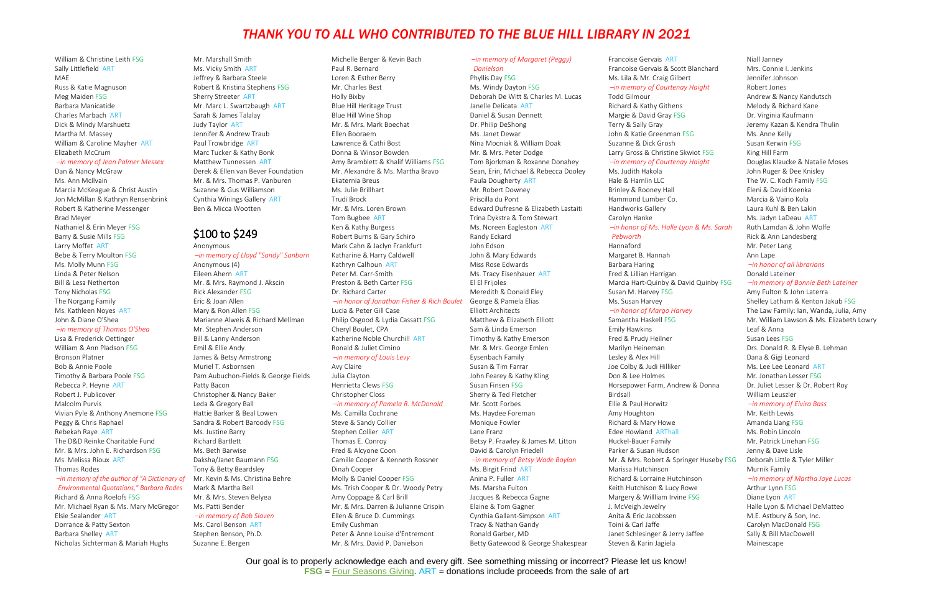Our goal is to properly acknowledge each and every gift. See something missing or incorrect? Please let us know! **FSG** = [Four Seasons Giving.](https://www.bhpl.net/fourseasons/) ART = donations include proceeds from the sale of art

William & Christine Leith FSG Sally Littlefield ART MAE Russ & Katie Magnuson Meg Maiden FSG Barbara Manicatide Charles Marbach ART Dick & Mindy Marshuetz Martha M. Massey William & Caroline Mayher ART Elizabeth McCrum

#### *–in memory of Jean Palmer Messex* Dan & Nancy McGraw

Ms. Ann McIlvain Marcia McKeague & Christ Austin Jon McMillan & Kathryn Rensenbrink Robert & Katherine Messenger Brad Meyer Nathaniel & Erin Meyer FSG Barry & Susie Mills FSG Larry Moffet ART Bebe & Terry Moulton FSG Ms. Molly Munn FSG Linda & Peter Nelson Bill & Lesa Netherton Tony Nicholas FSG The Norgang Family Ms. Kathleen Noyes ART John & Diane O'Shea

### *–in memory of Thomas O'Shea*

Lisa & Frederick Oettinger William & Ann Pladson FSG Bronson Platner Bob & Annie Poole Timothy & Barbara Poole FSG Rebecca P. Heyne ART Robert J. Publicover Malcolm Purvis Vivian Pyle & Anthony Anemone FSG Peggy & Chris Raphael Rebekah Raye ART The D&D Reinke Charitable Fund Mr. & Mrs. John E. Richardson FSG Ms. Melissa Rioux ART Thomas Rodes

# *Environmental Quotations," Barbara Rodes*

Richard & Anna Roelofs FSG Mr. Michael Ryan & Ms. Mary McGregor Elsie Sealander ART Dorrance & Patty Sexton Barbara Shelley ART Nicholas Sichterman & Mariah Hughs

Mr. Marshall Smith Ms. Vicky Smith ART Jeffrey & Barbara Steele Robert & Kristina Stephens FSG Sherry Streeter ART Mr. Marc L. Swartzbaugh ART Sarah & James Talalay Judy Taylor ART Jennifer & Andrew Traub Paul Trowbridge ART Marc Tucker & Kathy Bonk Matthew Tunnessen ART Derek & Ellen van Bever Foundation Mr. & Mrs. Thomas P. Vanburen Suzanne & Gus Williamson Cynthia Winings Gallery ART Ben & Micca Wootten

## \$100 to \$249

*–in memory of the author of "A Dictionary of*  Mr. Kevin & Ms. Christina Behre Anonymous *–in memory of Lloyd "Sandy" Sanborn* Anonymous (4) Eileen Ahern ART Mr. & Mrs. Raymond J. Akscin Rick Alexander FSG Eric & Joan Allen Mary & Ron Allen FSG Marianne Alweis & Richard Mellman Mr. Stephen Anderson Bill & Lanny Anderson Emil & Ellie Andy James & Betsy Armstrong Muriel T. Asbornsen Pam Aubuchon-Fields & George Fields Patty Bacon Christopher & Nancy Baker Leda & Gregory Ball Hattie Barker & Beal Lowen Sandra & Robert Baroody FSG Ms. Justine Barry Richard Bartlett Ms. Beth Barwise Daksha/Janet Baumann FSG Tony & Betty Beardsley Mark & Martha Bell Mr. & Mrs. Steven Belyea Ms. Patti Bender *–in memory of Bob Slaven*

Francoise Gervais ART Francoise Gervais & Scott Ms. Lila & Mr. Craig Gilber  $-$ *in memory of Courtenay* 

Todd Gilmour Richard & Kathy Githens Margie & David Gray FSG Terry & Sally Gray John & Katie Greenman FS Suzanne & Dick Grosh Larry Gross & Christine Sk

#### $-$ *in memory of Courtenay*

## Ms. Carol Benson ART

Stephen Benson, Ph.D. Suzanne E. Bergen

#### $-$ *in honor of Ms. Halle Lyc Pebworth*

Michelle Berger & Kevin Bach Paul R. Bernard Loren & Esther Berry Mr. Charles Best Holly Bixby Blue Hill Heritage Trust Blue Hill Wine Shop Mr. & Mrs. Mark Boechat Ellen Booraem Lawrence & Cathi Bost Donna & Winsor Bowden Amy Bramblett & Khalif Williams FSG Mr. Alexandre & Ms. Martha Bravo Ekaternia Breus Ms. Julie Brillhart Trudi Brock Mr. & Mrs. Loren Brown Tom Bugbee ART Ken & Kathy Burgess Robert Burns & Gary Schiro Mark Cahn & Jaclyn Frankfurt Katharine & Harry Caldwell Kathryn Calhoun ART Peter M. Carr-Smith Preston & Beth Carter FSG Dr. Richard Carter

#### *–in honor of Jonathan Fisher & Rich Boulet*

Lucia & Peter Gill Case Philip Osgood & Lydia Cassatt FSG Cheryl Boulet, CPA Katherine Noble Churchill ART Ronald & Juliet Cimino

### *–in memory of Louis Levy*

Avy Claire Julia Clayton Henrietta Clews FSG Christopher Closs *–in memory of Pamela R. McDonald*

Ms. Camilla Cochrane Steve & Sandy Collier Stephen Collier ART Thomas E. Conroy Fred & Alcyone Coon Camille Cooper & Kenneth Rossner Dinah Cooper Molly & Daniel Cooper FSG Ms. Trish Cooper & Dr. Woody Petry Amy Coppage & Carl Brill Mr. & Mrs. Darren & Julianne Crispin Ellen & Bruce D. Cummings Emily Cushman Peter & Anne Louise d'Entremont Mr. & Mrs. David P. Danielson

*–in memory of Margaret (Peggy) Danielson*

Phyllis Day FSG Ms. Windy Dayton FSG Deborah De Witt & Charles M. Lucas Janelle Delicata ART Daniel & Susan Dennett Dr. Philip DeShong Ms. Janet Dewar Nina Mocniak & William Doak Mr. & Mrs. Peter Dodge Tom Bjorkman & Roxanne Donahey Sean, Erin, Michael & Rebecca Dooley Paula Dougherty ART Mr. Robert Downey Priscilla du Pont Edward Dufresne & Elizabeth Lastaiti Trina Dykstra & Tom Stewart Ms. Noreen Eagleston ART Randy Eckard John Edson John & Mary Edwards Miss Rose Edwards Ms. Tracy Eisenhauer ART El El Frijoles Meredith & Donald Eley George & Pamela Elias Elliott Architects Matthew & Elizabeth Elliott Sam & Linda Emerson Timothy & Kathy Emerson Mr. & Mrs. George Emlen Eysenbach Family Susan & Tim Farrar John Fearey & Kathy Kling Susan Finsen FSG Sherry & Ted Fletcher Mr. Scott Forbes Ms. Haydee Foreman Monique Fowler Lane Franz Betsy P. Frawley & James M. Litton David & Carolyn Friedell *–in memory of Betsy Wade Boylan* Ms. Birgit Frind ART Anina P. Fuller ART Ms. Marsha Fulton Jacques & Rebecca Gagne

Elaine & Tom Gagner

Cynthia Gallant-Simpson ART Tracy & Nathan Gandy Ronald Garber, MD

Betty Gatewood & George Shakespear

Ms. Judith Hakola Hale & Hamlin LLC Brinley & Rooney Hall Hammond Lumber Co. Handworks Gallery Carolyn Hanke

Hannaford Margaret B. Hannah Barbara Haring Fred & Lillian Harrigan Marcia Hart-Quinby & Day Susan M. Harvey FSG Ms. Susan Harvey

#### *–in honor of Margo Harvey*

Samantha Haskell FSG Emily Hawkins Fred & Prudy Heilner Marilyn Heineman Lesley & Alex Hill Joe Colby & Judi Hilliker Don & Lee Holmes Horsepower Farm, Andrey Birdsall Ellie & Paul Horwitz Amy Houghton Richard & Mary Howe Edee Howland ARThall Huckel-Bauer Family Parker & Susan Hudson Mr. & Mrs. Robert & Spring Marissa Hutchinson Richard & Lorraine Hutchi Keith Hutchison & Lucy Ro Margery & Willliam Irvine J. McVeigh Jewelry Anita & Eric Jacobssen Toini & Carl Jaffe Janet Schlesinger & Jerry Steven & Karin Jagiela

Niall Janney

|                 | iviali Jahney                            |
|-----------------|------------------------------------------|
| Blanchard       | Mrs. Connie I. Jenkins                   |
| rt              | Jennifer Johnson                         |
| Haight          | Robert Jones                             |
|                 | Andrew & Nancy Kandutsch                 |
|                 | Melody & Richard Kane                    |
|                 | Dr. Virginia Kaufmann                    |
|                 | Jeremy Kazan & Kendra Thulin             |
| SG              | Ms. Anne Kelly                           |
|                 | Susan Kerwin FSG                         |
| wiot FSG        | King Hill Farm                           |
|                 |                                          |
| ' Haight        | Douglas Klaucke & Natalie Moses          |
|                 | John Ruger & Dee Knisley                 |
|                 | The W. C. Koch Family FSG                |
|                 | Eleni & David Koenka                     |
|                 | Marcia & Vaino Kola                      |
|                 | Laura Kuhl & Ben Lakin                   |
|                 | Ms. Jadyn LaDeau ART                     |
| วท & Ms. Sarah  | Ruth Lamdan & John Wolfe                 |
|                 | Rick & Ann Landesberg                    |
|                 | Mr. Peter Lang                           |
|                 | Ann Lape                                 |
|                 | -in honor of all librarians              |
|                 | Donald Lateiner                          |
| vid Quinby FSG  | -in memory of Bonnie Beth Lateiner       |
|                 | Amy Fulton & John Laterra                |
|                 | Shelley Latham & Kenton Jakub FSG        |
| гу              | The Law Family: Ian, Wanda, Julia, Amy   |
|                 | Mr. William Lawson & Ms. Elizabeth Lowry |
|                 | Leaf & Anna                              |
|                 | Susan Lees FSG                           |
|                 | Drs. Donald R. & Elyse B. Lehman         |
|                 |                                          |
|                 | Dana & Gigi Leonard                      |
|                 | Ms. Lee Lee Leonard ART                  |
|                 | Mr. Jonathan Lesser FSG                  |
| w & Donna       | Dr. Juliet Lesser & Dr. Robert Roy       |
|                 | William Leuszler                         |
|                 | -in memory of Elvira Bass                |
|                 | Mr. Keith Lewis                          |
|                 | Amanda Liang FSG                         |
|                 | Ms. Robin Lincoln                        |
|                 | Mr. Patrick Linehan FSG                  |
|                 | Jenny & Dave Lisle                       |
| nger Huseby FSG | Deborah Little & Tyler Miller            |
|                 | Murnik Family                            |
| inson           | -in memory of Martha Joye Lucas          |
| owe             | Arthur Lynn FSG                          |
| <b>FSG</b>      | Diane Lyon ART                           |
|                 | Halle Lyon & Michael DeMatteo            |
|                 | M.E. Astbury & Son, Inc.                 |
|                 | Carolyn MacDonald FSG                    |
| Jaffee          | Sally & Bill MacDowell                   |
|                 | Mainescape                               |
|                 |                                          |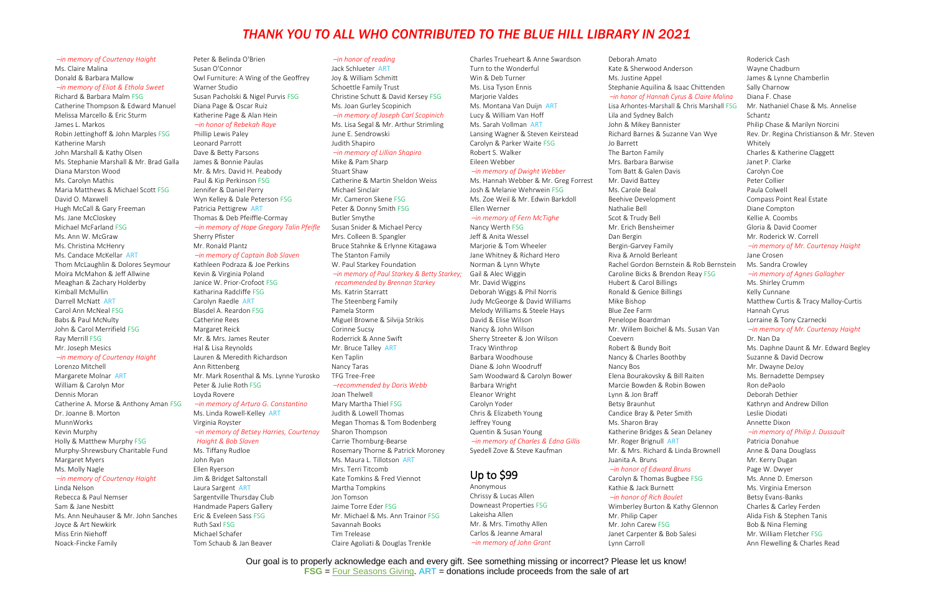## Our goal is to properly acknowledge each and every gift. See something missing or incorrect? Please let us know! **FSG** = [Four Seasons Giving.](https://www.bhpl.net/fourseasons/) ART = donations include proceeds from the sale of art

### *–in memory of Courtenay Haight* Ms. Claire Malina

Donald & Barbara Mallow *–in memory of Eliot & Ethola Sweet*

#### Richard & Barbara Malm FSG

Catherine Thompson & Edward Manuel Melissa Marcello & Eric Sturm James L. Markos Robin Jettinghoff & John Marples FSG Katherine Marsh John Marshall & Kathy Olsen Ms. Stephanie Marshall & Mr. Brad Galla Diana Marston Wood Ms. Carolyn Mathis Maria Matthews & Michael Scott FSG David O. Maxwell Hugh McCall & Gary Freeman Ms. Jane McCloskey Michael McFarland FSG Ms. Ann W. McGraw Ms. Christina McHenry Ms. Candace McKellar ART Thom McLaughlin & Dolores Seymour Moira McMahon & Jeff Allwine Meaghan & Zachary Holderby Kimball McMullin Darrell McNatt ART Carol Ann McNeal FSG Babs & Paul McNulty John & Carol Merrifield FSG Ray Merrill FSG Mr. Joseph Mesics

## *–in memory of Courtenay Haight*

Lorenzo Mitchell Margarete Molnar ART William & Carolyn Mor Dennis Moran Catherine A. Morse & Anthony Aman FSG Dr. Joanne B. Morton MunnWorks Kevin Murphy Holly & Matthew Murphy FSG Murphy-Shrewsbury Charitable Fund Margaret Myers Ms. Molly Nagle *–in memory of Courtenay Haight* Linda Nelson

Rebecca & Paul Nemser Sam & Jane Nesbitt Ms. Ann Neuhauser & Mr. John Sanches Joyce & Art Newkirk Miss Erin Niehoff Noack-Fincke Family

### Peter & Belinda O'Brien Susan O'Connor Owl Furniture: A Wing of the Geoffrey Warner Studio Susan Pacholski & Nigel Purvis FSG Diana Page & Oscar Ruiz Katherine Page & Alan Hein

## *–in honor of Rebekah Raye*

Phillip Lewis Paley Leonard Parrott Dave & Betty Parsons James & Bonnie Paulas Mr. & Mrs. David H. Peabody Paul & Kip Perkinson FSG Jennifer & Daniel Perry Wyn Kelley & Dale Peterson FSG Patricia Pettigrew ART Thomas & Deb Pfeiffle-Cormay *–in memory of Hope Gregory Talin Pfeifle*

## Sherry Pfister

Mr. Ronald Plantz *–in memory of Captain Bob Slaven* Kathleen Podraza & Joe Perkins Kevin & Virginia Poland Janice W. Prior-Crofoot FSG Katharina Radcliffe FSG Carolyn Raedle ART Blasdel A. Reardon FSG Catherine Rees Margaret Reick Mr. & Mrs. James Reuter Hal & Lisa Reynolds Lauren & Meredith Richardson Ann Rittenberg Mr. Mark Rosenthal & Ms. Lynne Yurosko Peter & Julie Roth FSG Loyda Rovere *–in memory of Arturo G. Constantino* Ms. Linda Rowell-Kelley ART

Virginia Royster *–in memory of Betsey Harries, Courtenay Haight & Bob Slaven*

Ms. Tiffany Rudloe John Ryan Ellen Ryerson Jim & Bridget Saltonstall Laura Sargent ART Sargentville Thursday Club Handmade Papers Gallery Eric & Eveleen Sass FSG Ruth Saxl FSG Michael Schafer Tom Schaub & Jan Beaver

### *–in honor of reading*

Jack Schlueter ART Joy & William Schmitt Schoettle Family Trust Christine Schutt & David Kersey FSG Ms. Joan Gurley Scopinich *–in memory of Joseph Carl Scopinich* Ms. Lisa Segal & Mr. Arthur Strimling

#### June E. Sendrowski Judith Shapiro

### *–in memory of Lillian Shapiro*

Mike & Pam Sharp Stuart Shaw Catherine & Martin Sheldon Weiss Michael Sinclair Mr. Cameron Skene FSG Peter & Donny Smith FSG Butler Smythe Susan Snider & Michael Percy Mrs. Colleen B. Spangler Bruce Stahnke & Erlynne Kitagawa The Stanton Family W. Paul Starkey Foundation

#### *–in memory of Paul Starkey & Betty Starkey; recommended by Brennan Starkey*

Ms. Katrin Starratt The Steenberg Family Pamela Storm Miguel Browne & Silvija Strikis Corinne Sucsy Roderrick & Anne Swift Mr. Bruce Talley ART Ken Taplin Nancy Taras TFG Tree-Free

### *–recommended by Doris Webb*

Joan Thelwell Mary Martha Thiel FSG Judith & Lowell Thomas Megan Thomas & Tom Bodenberg Sharon Thompson Carrie Thornburg-Bearse Rosemary Thorne & Patrick Moroney Ms. Maura L. Tillotson ART Mrs. Terri Titcomb Kate Tomkins & Fred Viennot Martha Tompkins Jon Tomson Jaime Torre Eder FSG Mr. Michael & Ms. Ann Trainor FSG Savannah Books Tim Trelease Claire Agoliati & Douglas Trenkle

Charles Trueheart & Anne Swardson Turn to the Wonderful Win & Deb Turner Ms. Lisa Tyson Ennis Marjorie Valdes Ms. Montana Van Duijn ART Lucy & William Van Hoff Ms. Sarah Vollman ART Lansing Wagner & Steven Keirstead Carolyn & Parker Waite FSG Robert S. Walker

## Eileen Webber

*–in memory of Dwight Webber* Ms. Hannah Webber & Mr. Greg Forrest Josh & Melanie Wehrwein FSG Ms. Zoe Weil & Mr. Edwin Barkdoll Ellen Werner

#### *–in memory of Fern McTighe*

Nancy Werth FSG Jeff & Anita Wessel Marjorie & Tom Wheeler Jane Whitney & Richard Hero Norman & Lynn Whyte Gail & Alec Wiggin Mr. David Wiggins Deborah Wiggs & Phil Norris Judy McGeorge & David Williams Melody Williams & Steele Hays David & Elise Wilson Nancy & John Wilson Sherry Streeter & Jon Wilson Tracy Winthrop Barbara Woodhouse Diane & John Woodruff Sam Woodward & Carolyn Bower Barbara Wright Eleanor Wright Carolyn Yoder Chris & Elizabeth Young Jeffrey Young Quentin & Susan Young *–in memory of Charles & Edna Gillis* Syedell Zove & Steve Kaufman

# Up to \$99

Anonymous Chrissy & Lucas Allen Downeast Properties FSG Lakeisha Allen Mr. & Mrs. Timothy Allen Carlos & Jeanne Amaral *–in memory of John Grant* Deborah Amato

Ms. Justine Appel Stephanie Aquilina & Isaad *–in honor of Hannah Cyrus & Claire Malina* Lisa Arhontes-Marshall & Cl Lila and Sydney Balch John & Mikey Bannister Richard Barnes & Suzanne Jo Barrett The Barton Family Mrs. Barbara Barwise Tom Batt & Galen Davis Mr. David Battey Ms. Carole Beal Beehive Development Nathalie Bell Scot & Trudy Bell Mr. Erich Bensheimer Dan Bergin Bergin-Garvey Family Riva & Arnold Berleant Rachel Gordon Bernstein Caroline Bicks & Brendon Hubert & Carol Billings Ronald & Genice Billings Mike Bishop Blue Zee Farm Penelope Boardman Mr. Willem Boichel & Ms. Coevern Robert & Bundy Boit Nancy & Charles Boothby Nancy Bos Elena Bourakovsky & Bill F Marcie Bowden & Robin B Lynn & Jon Braff Betsy Braunhut Candice Bray & Peter Smith Ms. Sharon Bray Katherine Bridges & Sean Mr. Roger Brignull ART Mr. & Mrs. Richard & Lind Juanita A. Bruns *–in honor of Edward Bruns* Carolyn & Thomas Bugbee Kathie & Jack Burnett *–in honor of Rich Boulet* Wimberley Burton & Kathy Mr. Philip Caper Mr. John Carew FSG

| Deboran Amato                               | ROUBLICK CASH                             |
|---------------------------------------------|-------------------------------------------|
| Kate & Sherwood Anderson                    | Wayne Chadburn                            |
| Ms. Justine Appel                           | James & Lynne Chamberlin                  |
| Stephanie Aquilina & Isaac Chittenden       | Sally Charnow                             |
| -in honor of Hannah Cyrus & Claire Malina   | Diana F. Chase                            |
| Lisa Arhontes-Marshall & Chris Marshall FSG | Mr. Nathaniel Chase & Ms. Annelise        |
| Lila and Sydney Balch                       | Schantz                                   |
| John & Mikey Bannister                      | Philip Chase & Marilyn Norcini            |
| Richard Barnes & Suzanne Van Wye            | Rev. Dr. Regina Christianson & Mr. Steven |
| Io Barrett                                  | Whitely                                   |
| The Barton Family                           | Charles & Katherine Claggett              |
| Mrs. Barbara Barwise                        | Janet P. Clarke                           |
| Tom Batt & Galen Davis                      | Carolyn Coe                               |
| Mr. David Battey                            | Peter Collier                             |
| Ms. Carole Beal                             | Paula Colwell                             |
| Beehive Development                         | Compass Point Real Estate                 |
| Nathalie Bell                               | Diane Compton                             |
| Scot & Trudy Bell                           | Kellie A. Coombs                          |
| Mr. Erich Bensheimer                        | Gloria & David Coomer                     |
| Dan Bergin                                  | Mr. Roderick W. Correll                   |
| Bergin-Garvey Family                        | -in memory of Mr. Courtenay Haight        |
| Riva & Arnold Berleant                      | Jane Crosen                               |
| Rachel Gordon Bernstein & Rob Bernstein     | Ms. Sandra Crowley                        |
| Caroline Bicks & Brendon Reay FSG           | -in memory of Agnes Gallagher             |
| Hubert & Carol Billings                     | Ms. Shirley Crumm                         |
| Ronald & Genice Billings                    | Kelly Cunnane                             |
| Mike Bishop                                 | Matthew Curtis & Tracy Malloy-Curtis      |
| Blue Zee Farm                               | Hannah Cyrus                              |
| Penelope Boardman                           | Lorraine & Tony Czarnecki                 |
| Mr. Willem Boichel & Ms. Susan Van          | -in memory of Mr. Courtenay Haight        |
| Coevern                                     | Dr. Nan Da                                |
| Robert & Bundy Boit                         | Ms. Daphne Daunt & Mr. Edward Begley      |
| Nancy & Charles Boothby                     | Suzanne & David Decrow                    |
| Nancy Bos                                   | Mr. Dwayne DeJoy                          |
| Elena Bourakovsky & Bill Raiten             | Ms. Bernadette Dempsey                    |
| Marcie Bowden & Robin Bowen                 | Ron dePaolo                               |
| Lynn & Jon Braff                            | Deborah Dethier                           |
| Betsy Braunhut                              | Kathryn and Andrew Dillon                 |
| Candice Bray & Peter Smith                  | Leslie Diodati                            |
| Ms. Sharon Bray                             | Annette Dixon                             |
| Katherine Bridges & Sean Delaney            | -in memory of Philip J. Dussault          |
| Mr. Roger Brignull ART                      | Patricia Donahue                          |
| Mr. & Mrs. Richard & Linda Brownell         | Anne & Dana Douglass                      |
| Juanita A. Bruns                            | Mr. Kerry Dugan                           |
| -in honor of Edward Bruns                   | Page W. Dwyer                             |
| Carolyn & Thomas Bugbee FSG                 | Ms. Anne D. Emerson                       |
| Kathie & Jack Burnett                       | Ms. Virginia Emerson                      |
| -in honor of Rich Boulet                    | Betsy Evans-Banks                         |
| Wimberley Burton & Kathy Glennon            | Charles & Carley Ferden                   |
| Mr. Philip Caper                            | Alida Fish & Stephen Tanis                |
| Mr. John Carew FSG                          | Bob & Nina Fleming                        |
| Janet Carpenter & Bob Salesi                | Mr. William Fletcher FSG                  |
| Lynn Carroll                                | Ann Flewelling & Charles Read             |
|                                             |                                           |

Roderick Cash